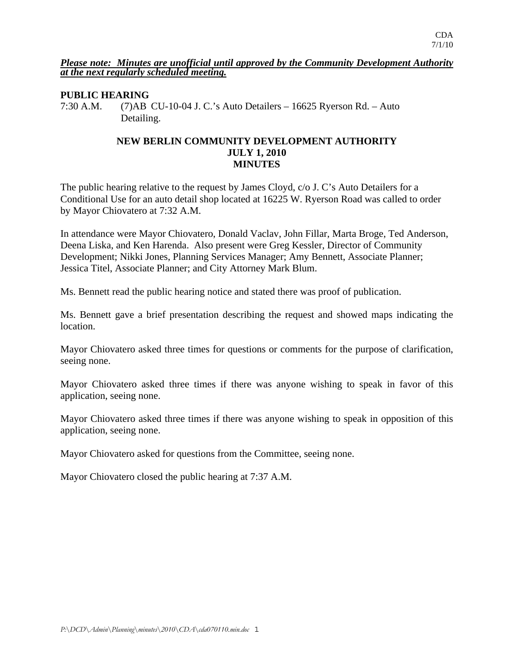#### *Please note: Minutes are unofficial until approved by the Community Development Authority at the next regularly scheduled meeting.*

### **PUBLIC HEARING**

7:30 A.M. (7)AB CU-10-04 J. C.'s Auto Detailers – 16625 Ryerson Rd. – Auto Detailing.

### **NEW BERLIN COMMUNITY DEVELOPMENT AUTHORITY JULY 1, 2010 MINUTES**

The public hearing relative to the request by James Cloyd, c/o J. C's Auto Detailers for a Conditional Use for an auto detail shop located at 16225 W. Ryerson Road was called to order by Mayor Chiovatero at 7:32 A.M.

In attendance were Mayor Chiovatero, Donald Vaclav, John Fillar, Marta Broge, Ted Anderson, Deena Liska, and Ken Harenda. Also present were Greg Kessler, Director of Community Development; Nikki Jones, Planning Services Manager; Amy Bennett, Associate Planner; Jessica Titel, Associate Planner; and City Attorney Mark Blum.

Ms. Bennett read the public hearing notice and stated there was proof of publication.

Ms. Bennett gave a brief presentation describing the request and showed maps indicating the location.

Mayor Chiovatero asked three times for questions or comments for the purpose of clarification, seeing none.

Mayor Chiovatero asked three times if there was anyone wishing to speak in favor of this application, seeing none.

Mayor Chiovatero asked three times if there was anyone wishing to speak in opposition of this application, seeing none.

Mayor Chiovatero asked for questions from the Committee, seeing none.

Mayor Chiovatero closed the public hearing at 7:37 A.M.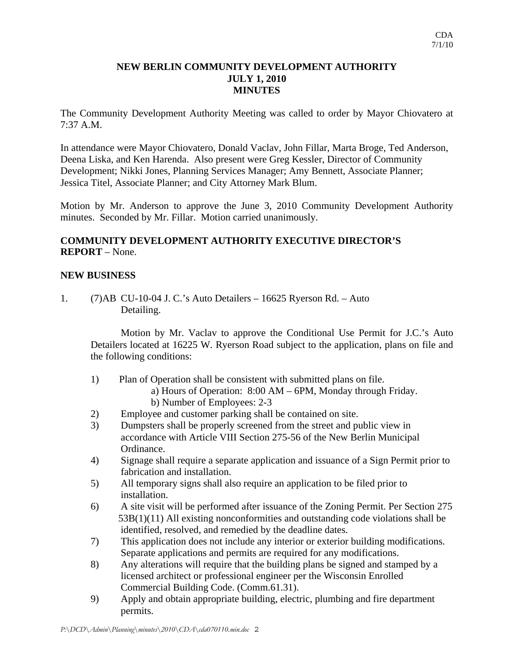# **NEW BERLIN COMMUNITY DEVELOPMENT AUTHORITY JULY 1, 2010 MINUTES**

The Community Development Authority Meeting was called to order by Mayor Chiovatero at 7:37 A.M.

In attendance were Mayor Chiovatero, Donald Vaclav, John Fillar, Marta Broge, Ted Anderson, Deena Liska, and Ken Harenda. Also present were Greg Kessler, Director of Community Development; Nikki Jones, Planning Services Manager; Amy Bennett, Associate Planner; Jessica Titel, Associate Planner; and City Attorney Mark Blum.

Motion by Mr. Anderson to approve the June 3, 2010 Community Development Authority minutes. Seconded by Mr. Fillar. Motion carried unanimously.

# **COMMUNITY DEVELOPMENT AUTHORITY EXECUTIVE DIRECTOR'S REPORT** – None.

### **NEW BUSINESS**

1. (7)AB CU-10-04 J. C.'s Auto Detailers – 16625 Ryerson Rd. – Auto Detailing.

 Motion by Mr. Vaclav to approve the Conditional Use Permit for J.C.'s Auto Detailers located at 16225 W. Ryerson Road subject to the application, plans on file and the following conditions:

- 1) Plan of Operation shall be consistent with submitted plans on file.
	- a) Hours of Operation: 8:00 AM 6PM, Monday through Friday.
	- b) Number of Employees: 2-3
- 2) Employee and customer parking shall be contained on site.
- 3) Dumpsters shall be properly screened from the street and public view in accordance with Article VIII Section 275-56 of the New Berlin Municipal Ordinance.
- 4) Signage shall require a separate application and issuance of a Sign Permit prior to fabrication and installation.
- 5) All temporary signs shall also require an application to be filed prior to installation.
- 6) A site visit will be performed after issuance of the Zoning Permit. Per Section 275 53B(1)(11) All existing nonconformities and outstanding code violations shall be identified, resolved, and remedied by the deadline dates.
- 7) This application does not include any interior or exterior building modifications. Separate applications and permits are required for any modifications.
- 8) Any alterations will require that the building plans be signed and stamped by a licensed architect or professional engineer per the Wisconsin Enrolled Commercial Building Code. (Comm.61.31).
- 9) Apply and obtain appropriate building, electric, plumbing and fire department permits.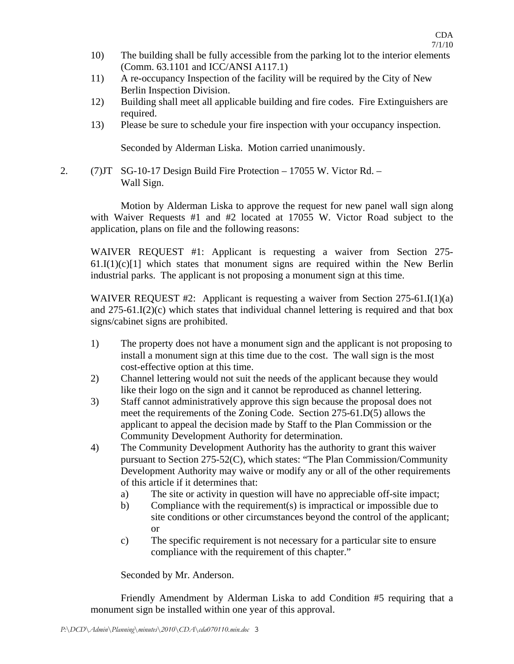- 10) The building shall be fully accessible from the parking lot to the interior elements (Comm. 63.1101 and ICC/ANSI A117.1)
- 11) A re-occupancy Inspection of the facility will be required by the City of New Berlin Inspection Division.
- 12) Building shall meet all applicable building and fire codes. Fire Extinguishers are required.
- 13) Please be sure to schedule your fire inspection with your occupancy inspection.

Seconded by Alderman Liska. Motion carried unanimously.

2. (7)JT SG-10-17 Design Build Fire Protection – 17055 W. Victor Rd. – Wall Sign.

 Motion by Alderman Liska to approve the request for new panel wall sign along with Waiver Requests #1 and #2 located at 17055 W. Victor Road subject to the application, plans on file and the following reasons:

WAIVER REQUEST #1: Applicant is requesting a waiver from Section 275-  $61.I(1)(c)[1]$  which states that monument signs are required within the New Berlin industrial parks. The applicant is not proposing a monument sign at this time.

WAIVER REQUEST  $#2$ : Applicant is requesting a waiver from Section 275-61.I(1)(a) and 275-61.I(2)(c) which states that individual channel lettering is required and that box signs/cabinet signs are prohibited.

- 1) The property does not have a monument sign and the applicant is not proposing to install a monument sign at this time due to the cost. The wall sign is the most cost-effective option at this time.
- 2) Channel lettering would not suit the needs of the applicant because they would like their logo on the sign and it cannot be reproduced as channel lettering.
- 3) Staff cannot administratively approve this sign because the proposal does not meet the requirements of the Zoning Code. Section 275-61.D(5) allows the applicant to appeal the decision made by Staff to the Plan Commission or the Community Development Authority for determination.
- 4) The Community Development Authority has the authority to grant this waiver pursuant to Section 275-52(C), which states: "The Plan Commission/Community Development Authority may waive or modify any or all of the other requirements of this article if it determines that:
	- a) The site or activity in question will have no appreciable off-site impact;
	- b) Compliance with the requirement(s) is impractical or impossible due to site conditions or other circumstances beyond the control of the applicant; or
	- c) The specific requirement is not necessary for a particular site to ensure compliance with the requirement of this chapter."

Seconded by Mr. Anderson.

 Friendly Amendment by Alderman Liska to add Condition #5 requiring that a monument sign be installed within one year of this approval.